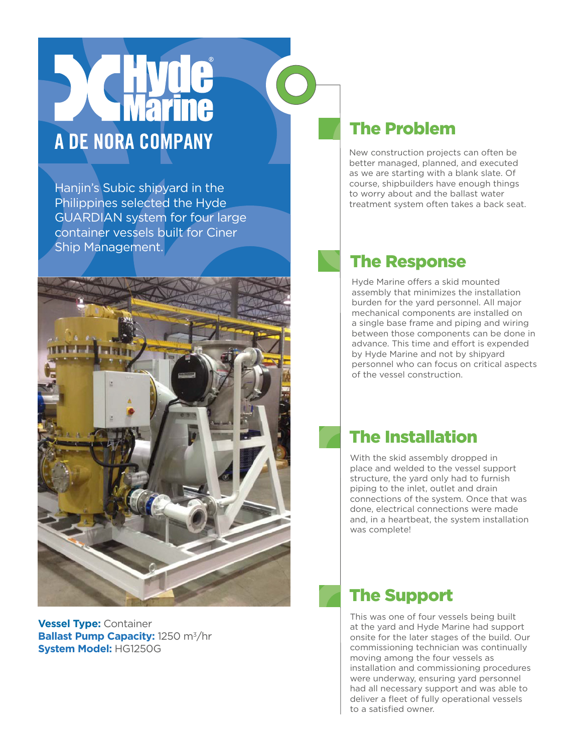# A DE NORA COMPANY

Hanjin's Subic shipyard in the Philippines selected the Hyde GUARDIAN system for four large container vessels built for Ciner Ship Management.



**Vessel Type:** Container **Ballast Pump Capacity:** 1250 m<sup>3</sup>/hr **System Model:** HG1250G

# The Problem

New construction projects can often be better managed, planned, and executed as we are starting with a blank slate. Of course, shipbuilders have enough things to worry about and the ballast water treatment system often takes a back seat.

## The Response

Hyde Marine offers a skid mounted assembly that minimizes the installation burden for the yard personnel. All major mechanical components are installed on a single base frame and piping and wiring between those components can be done in advance. This time and effort is expended by Hyde Marine and not by shipyard personnel who can focus on critical aspects of the vessel construction.

# The Installation

With the skid assembly dropped in place and welded to the vessel support structure, the yard only had to furnish piping to the inlet, outlet and drain connections of the system. Once that was done, electrical connections were made and, in a heartbeat, the system installation was complete!

#### The Support

This was one of four vessels being built at the yard and Hyde Marine had support onsite for the later stages of the build. Our commissioning technician was continually moving among the four vessels as installation and commissioning procedures were underway, ensuring yard personnel had all necessary support and was able to deliver a fleet of fully operational vessels to a satisfied owner.